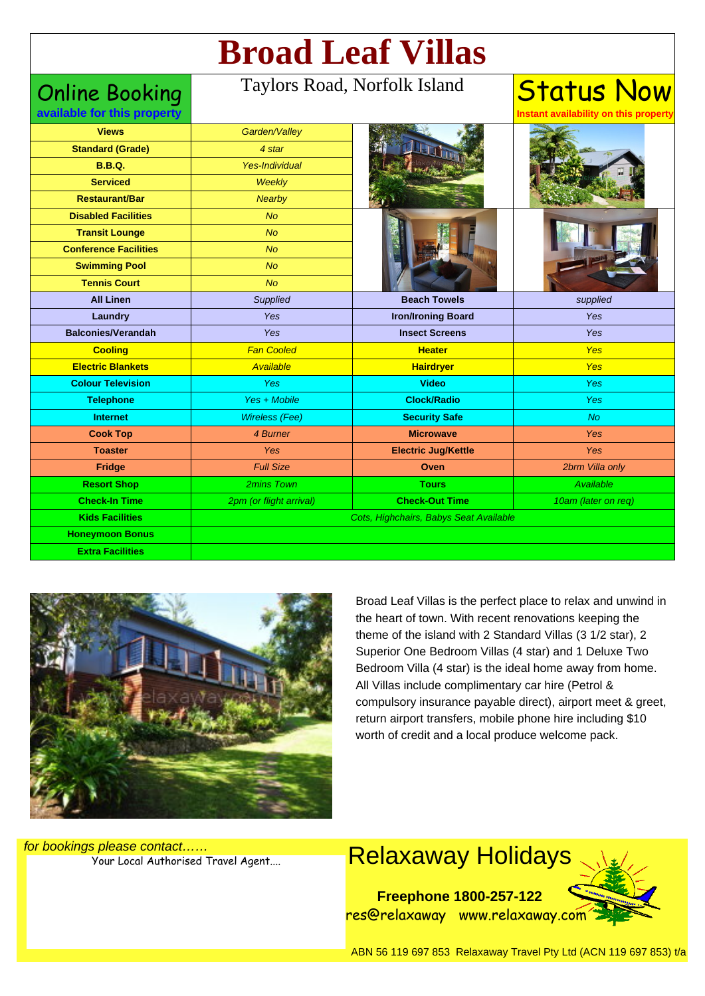# **Broad Leaf Villas**

### Online Booking

#### Taylors Road, Norfolk Island

**available for this property**

## **Status Now**

**Instant availability on this property**

| <b>Views</b><br><b>Standard (Grade)</b> | Garden/Valley<br>4 star                |                            |                     |
|-----------------------------------------|----------------------------------------|----------------------------|---------------------|
| <b>B.B.Q.</b>                           | Yes-Individual                         |                            |                     |
| <b>Serviced</b>                         | <b>Weekly</b>                          |                            |                     |
| <b>Restaurant/Bar</b>                   | <b>Nearby</b>                          |                            |                     |
| <b>Disabled Facilities</b>              | <b>No</b>                              |                            |                     |
| <b>Transit Lounge</b>                   | <b>No</b>                              |                            |                     |
| <b>Conference Facilities</b>            | <b>No</b>                              |                            |                     |
| <b>Swimming Pool</b>                    | <b>No</b>                              |                            |                     |
| <b>Tennis Court</b>                     | <b>No</b>                              |                            |                     |
| <b>All Linen</b>                        | Supplied                               | <b>Beach Towels</b>        | supplied            |
| Laundry                                 | Yes                                    | <b>Iron/Ironing Board</b>  | Yes                 |
| <b>Balconies/Verandah</b>               | Yes                                    | <b>Insect Screens</b>      | Yes                 |
| <b>Cooling</b>                          | <b>Fan Cooled</b>                      | <b>Heater</b>              | Yes                 |
| <b>Electric Blankets</b>                | Available                              | <b>Hairdryer</b>           | <b>Yes</b>          |
| <b>Colour Television</b>                | Yes                                    | <b>Video</b>               | <b>Yes</b>          |
| <b>Telephone</b>                        | Yes + Mobile                           | <b>Clock/Radio</b>         | <b>Yes</b>          |
| <b>Internet</b>                         | <b>Wireless (Fee)</b>                  | <b>Security Safe</b>       | <b>No</b>           |
| <b>Cook Top</b>                         | 4 Burner                               | <b>Microwave</b>           | <b>Yes</b>          |
| <b>Toaster</b>                          | Yes                                    | <b>Electric Jug/Kettle</b> | <b>Yes</b>          |
| Fridge                                  | <b>Full Size</b>                       | Oven                       | 2brm Villa only     |
| <b>Resort Shop</b>                      | 2mins Town                             | <b>Tours</b>               | Available           |
| <b>Check-In Time</b>                    | 2pm (or flight arrival)                | <b>Check-Out Time</b>      | 10am (later on req) |
| <b>Kids Facilities</b>                  | Cots, Highchairs, Babys Seat Available |                            |                     |
| <b>Honeymoon Bonus</b>                  |                                        |                            |                     |
| <b>Extra Facilities</b>                 |                                        |                            |                     |
|                                         |                                        |                            |                     |



Broad Leaf Villas is the perfect place to relax and unwind in the heart of town. With recent renovations keeping the theme of the island with 2 Standard Villas (3 1/2 star), 2 Superior One Bedroom Villas (4 star) and 1 Deluxe Two Bedroom Villa (4 star) is the ideal home away from home. All Villas include complimentary car hire (Petrol & compulsory insurance payable direct), airport meet & greet, return airport transfers, mobile phone hire including \$10 worth of credit and a local produce welcome pack.

for bookings please contact……